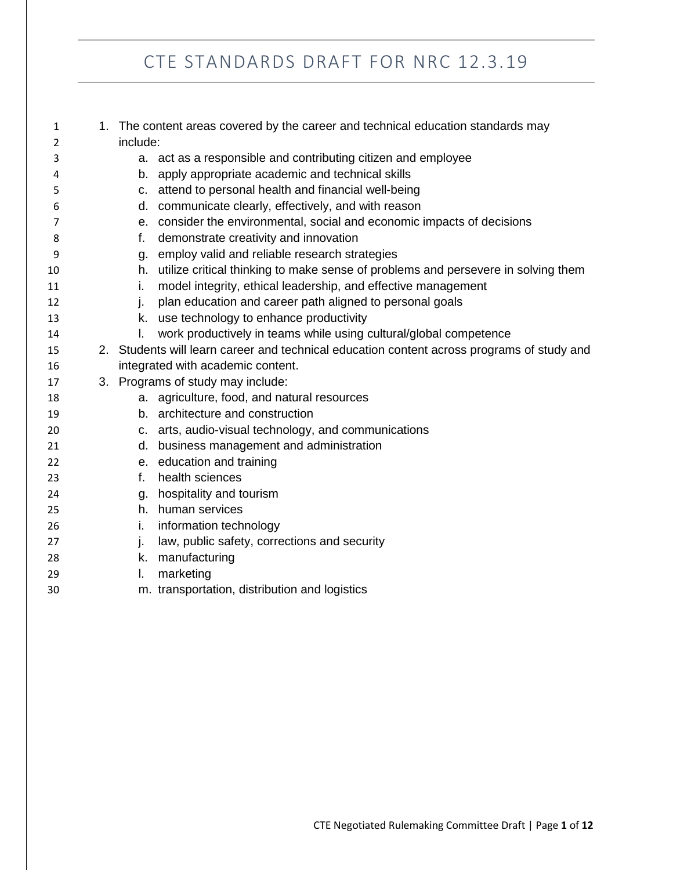| 1  | 1. The content areas covered by the career and technical education standards may |                                                                                            |  |
|----|----------------------------------------------------------------------------------|--------------------------------------------------------------------------------------------|--|
| 2  |                                                                                  | include:                                                                                   |  |
| 3  |                                                                                  | a. act as a responsible and contributing citizen and employee                              |  |
| 4  |                                                                                  | apply appropriate academic and technical skills<br>b.                                      |  |
| 5  | C.                                                                               | attend to personal health and financial well-being                                         |  |
| 6  |                                                                                  | d. communicate clearly, effectively, and with reason                                       |  |
| 7  |                                                                                  | e. consider the environmental, social and economic impacts of decisions                    |  |
| 8  | f.                                                                               | demonstrate creativity and innovation                                                      |  |
| 9  |                                                                                  | g. employ valid and reliable research strategies                                           |  |
| 10 |                                                                                  | h. utilize critical thinking to make sense of problems and persevere in solving them       |  |
| 11 | i.                                                                               | model integrity, ethical leadership, and effective management                              |  |
| 12 | ı.                                                                               | plan education and career path aligned to personal goals                                   |  |
| 13 |                                                                                  | k. use technology to enhance productivity                                                  |  |
| 14 | I.                                                                               | work productively in teams while using cultural/global competence                          |  |
| 15 |                                                                                  | 2. Students will learn career and technical education content across programs of study and |  |
| 16 |                                                                                  | integrated with academic content.                                                          |  |
| 17 |                                                                                  | 3. Programs of study may include:                                                          |  |
| 18 |                                                                                  | a. agriculture, food, and natural resources                                                |  |
| 19 |                                                                                  | b. architecture and construction                                                           |  |
| 20 |                                                                                  | c. arts, audio-visual technology, and communications                                       |  |
| 21 |                                                                                  | d. business management and administration                                                  |  |
| 22 |                                                                                  | e. education and training                                                                  |  |
| 23 | f.                                                                               | health sciences                                                                            |  |
| 24 |                                                                                  | g. hospitality and tourism                                                                 |  |
| 25 |                                                                                  | h. human services                                                                          |  |
| 26 | i.                                                                               | information technology                                                                     |  |
| 27 | j.                                                                               | law, public safety, corrections and security                                               |  |
| 28 | k.                                                                               | manufacturing                                                                              |  |
| 29 | L.                                                                               | marketing                                                                                  |  |
| 30 |                                                                                  | m. transportation, distribution and logistics                                              |  |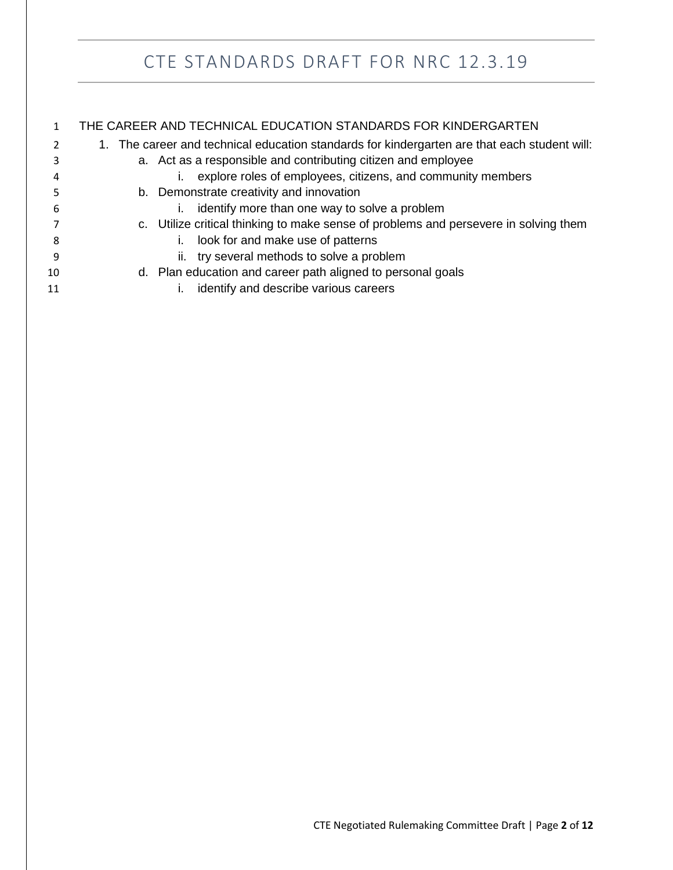|    | THE CAREER AND TECHNICAL EDUCATION STANDARDS FOR KINDERGARTEN                                |  |  |
|----|----------------------------------------------------------------------------------------------|--|--|
|    | 1. The career and technical education standards for kindergarten are that each student will: |  |  |
| 3  | a. Act as a responsible and contributing citizen and employee                                |  |  |
| 4  | explore roles of employees, citizens, and community members                                  |  |  |
| 5  | b. Demonstrate creativity and innovation                                                     |  |  |
| 6  | identify more than one way to solve a problem                                                |  |  |
|    | c. Utilize critical thinking to make sense of problems and persevere in solving them         |  |  |
| 8  | look for and make use of patterns                                                            |  |  |
| -9 | ii. try several methods to solve a problem                                                   |  |  |
| 10 | d. Plan education and career path aligned to personal goals                                  |  |  |
| 11 | identify and describe various careers                                                        |  |  |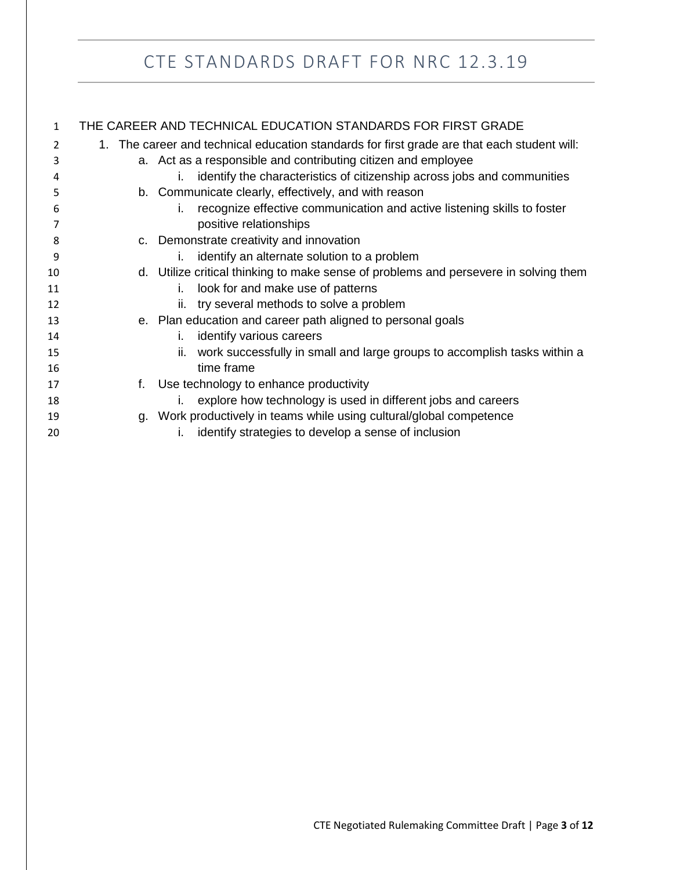| $\mathbf{1}$ | THE CAREER AND TECHNICAL EDUCATION STANDARDS FOR FIRST GRADE                                |                                                                                      |  |  |  |
|--------------|---------------------------------------------------------------------------------------------|--------------------------------------------------------------------------------------|--|--|--|
| 2            | 1. The career and technical education standards for first grade are that each student will: |                                                                                      |  |  |  |
| 3            | a. Act as a responsible and contributing citizen and employee                               |                                                                                      |  |  |  |
| 4            | identify the characteristics of citizenship across jobs and communities<br>İ.               |                                                                                      |  |  |  |
| 5            |                                                                                             | b. Communicate clearly, effectively, and with reason                                 |  |  |  |
| 6            |                                                                                             | recognize effective communication and active listening skills to foster<br>İ.        |  |  |  |
| 7            |                                                                                             | positive relationships                                                               |  |  |  |
| 8            |                                                                                             | c. Demonstrate creativity and innovation                                             |  |  |  |
| 9            |                                                                                             | identify an alternate solution to a problem<br>İ.                                    |  |  |  |
| 10           |                                                                                             | d. Utilize critical thinking to make sense of problems and persevere in solving them |  |  |  |
| 11           |                                                                                             | look for and make use of patterns<br>i.                                              |  |  |  |
| 12           |                                                                                             | ii. try several methods to solve a problem                                           |  |  |  |
| 13           |                                                                                             | e. Plan education and career path aligned to personal goals                          |  |  |  |
| 14           |                                                                                             | identify various careers<br>İ.                                                       |  |  |  |
| 15           |                                                                                             | work successfully in small and large groups to accomplish tasks within a<br>ii.      |  |  |  |
| 16           |                                                                                             | time frame                                                                           |  |  |  |
| 17           | f.                                                                                          | Use technology to enhance productivity                                               |  |  |  |
| 18           |                                                                                             | explore how technology is used in different jobs and careers                         |  |  |  |
| 19           |                                                                                             | g. Work productively in teams while using cultural/global competence                 |  |  |  |
| 20           |                                                                                             | identify strategies to develop a sense of inclusion                                  |  |  |  |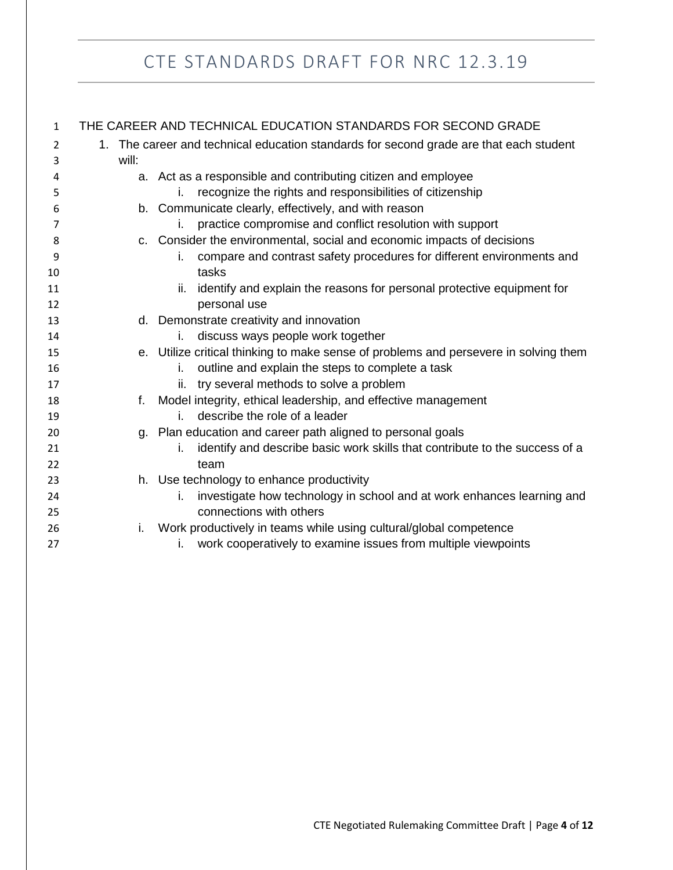| 1              | THE CAREER AND TECHNICAL EDUCATION STANDARDS FOR SECOND GRADE                             |                                                                                      |  |  |
|----------------|-------------------------------------------------------------------------------------------|--------------------------------------------------------------------------------------|--|--|
| $\overline{2}$ | The career and technical education standards for second grade are that each student<br>1. |                                                                                      |  |  |
| 3              | will:                                                                                     |                                                                                      |  |  |
| 4              |                                                                                           | a. Act as a responsible and contributing citizen and employee                        |  |  |
| 5              |                                                                                           | recognize the rights and responsibilities of citizenship<br>Ĺ.                       |  |  |
| 6              |                                                                                           | b. Communicate clearly, effectively, and with reason                                 |  |  |
| 7              |                                                                                           | practice compromise and conflict resolution with support<br>İ.                       |  |  |
| 8              | C.                                                                                        | Consider the environmental, social and economic impacts of decisions                 |  |  |
| 9              |                                                                                           | compare and contrast safety procedures for different environments and<br>İ.          |  |  |
| 10             |                                                                                           | tasks                                                                                |  |  |
| 11             |                                                                                           | identify and explain the reasons for personal protective equipment for<br>ii.        |  |  |
| 12             |                                                                                           | personal use                                                                         |  |  |
| 13             |                                                                                           | d. Demonstrate creativity and innovation                                             |  |  |
| 14             |                                                                                           | discuss ways people work together<br>i.                                              |  |  |
| 15             |                                                                                           | e. Utilize critical thinking to make sense of problems and persevere in solving them |  |  |
| 16             |                                                                                           | outline and explain the steps to complete a task<br>İ.                               |  |  |
| 17             |                                                                                           | try several methods to solve a problem<br>ii.                                        |  |  |
| 18             | f.                                                                                        | Model integrity, ethical leadership, and effective management                        |  |  |
| 19             |                                                                                           | describe the role of a leader<br>i.                                                  |  |  |
| 20             |                                                                                           | g. Plan education and career path aligned to personal goals                          |  |  |
| 21             |                                                                                           | identify and describe basic work skills that contribute to the success of a<br>İ.    |  |  |
| 22             |                                                                                           | team                                                                                 |  |  |
| 23             |                                                                                           | h. Use technology to enhance productivity                                            |  |  |
| 24             |                                                                                           | investigate how technology in school and at work enhances learning and<br>i.         |  |  |
| 25             |                                                                                           | connections with others                                                              |  |  |
| 26             | i.                                                                                        | Work productively in teams while using cultural/global competence                    |  |  |
| 27             |                                                                                           | work cooperatively to examine issues from multiple viewpoints<br>i.                  |  |  |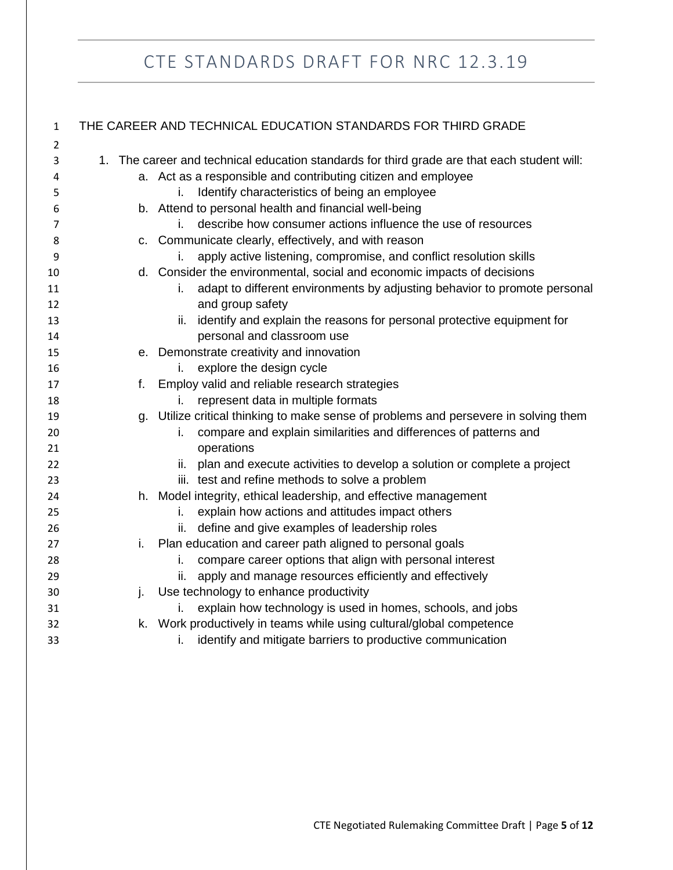| $\mathbf{1}$   | THE CAREER AND TECHNICAL EDUCATION STANDARDS FOR THIRD GRADE                                |                                                                                                     |  |  |  |
|----------------|---------------------------------------------------------------------------------------------|-----------------------------------------------------------------------------------------------------|--|--|--|
| $\overline{2}$ |                                                                                             |                                                                                                     |  |  |  |
| 3              | 1. The career and technical education standards for third grade are that each student will: |                                                                                                     |  |  |  |
| 4              | a. Act as a responsible and contributing citizen and employee                               |                                                                                                     |  |  |  |
| 5              |                                                                                             | Identify characteristics of being an employee<br>i.                                                 |  |  |  |
| 6              |                                                                                             | b. Attend to personal health and financial well-being                                               |  |  |  |
| 7              |                                                                                             | describe how consumer actions influence the use of resources<br>İ.                                  |  |  |  |
| 8              |                                                                                             | c. Communicate clearly, effectively, and with reason                                                |  |  |  |
| 9              |                                                                                             | apply active listening, compromise, and conflict resolution skills<br>L.                            |  |  |  |
| 10             |                                                                                             | d. Consider the environmental, social and economic impacts of decisions                             |  |  |  |
| 11<br>12       |                                                                                             | adapt to different environments by adjusting behavior to promote personal<br>İ.<br>and group safety |  |  |  |
| 13             |                                                                                             | identify and explain the reasons for personal protective equipment for<br>ii.                       |  |  |  |
| 14             |                                                                                             | personal and classroom use                                                                          |  |  |  |
| 15             |                                                                                             | e. Demonstrate creativity and innovation                                                            |  |  |  |
| 16             |                                                                                             | explore the design cycle<br>İ.                                                                      |  |  |  |
| 17             | f.                                                                                          | Employ valid and reliable research strategies                                                       |  |  |  |
| 18             |                                                                                             | represent data in multiple formats                                                                  |  |  |  |
| 19             |                                                                                             | g. Utilize critical thinking to make sense of problems and persevere in solving them                |  |  |  |
| 20             |                                                                                             | compare and explain similarities and differences of patterns and<br>i.                              |  |  |  |
| 21             |                                                                                             | operations                                                                                          |  |  |  |
| 22             |                                                                                             | plan and execute activities to develop a solution or complete a project<br>ii.                      |  |  |  |
| 23             |                                                                                             | iii. test and refine methods to solve a problem                                                     |  |  |  |
| 24             |                                                                                             | h. Model integrity, ethical leadership, and effective management                                    |  |  |  |
| 25             |                                                                                             | explain how actions and attitudes impact others<br>i.                                               |  |  |  |
| 26             |                                                                                             | define and give examples of leadership roles<br>ii.                                                 |  |  |  |
| 27             | i.                                                                                          | Plan education and career path aligned to personal goals                                            |  |  |  |
| 28             |                                                                                             | compare career options that align with personal interest<br>i.                                      |  |  |  |
| 29             |                                                                                             | apply and manage resources efficiently and effectively<br>ii.                                       |  |  |  |
| 30             | j.                                                                                          | Use technology to enhance productivity                                                              |  |  |  |
| 31             |                                                                                             | explain how technology is used in homes, schools, and jobs                                          |  |  |  |
| 32             |                                                                                             | k. Work productively in teams while using cultural/global competence                                |  |  |  |
| 33             |                                                                                             | identify and mitigate barriers to productive communication<br>İ.                                    |  |  |  |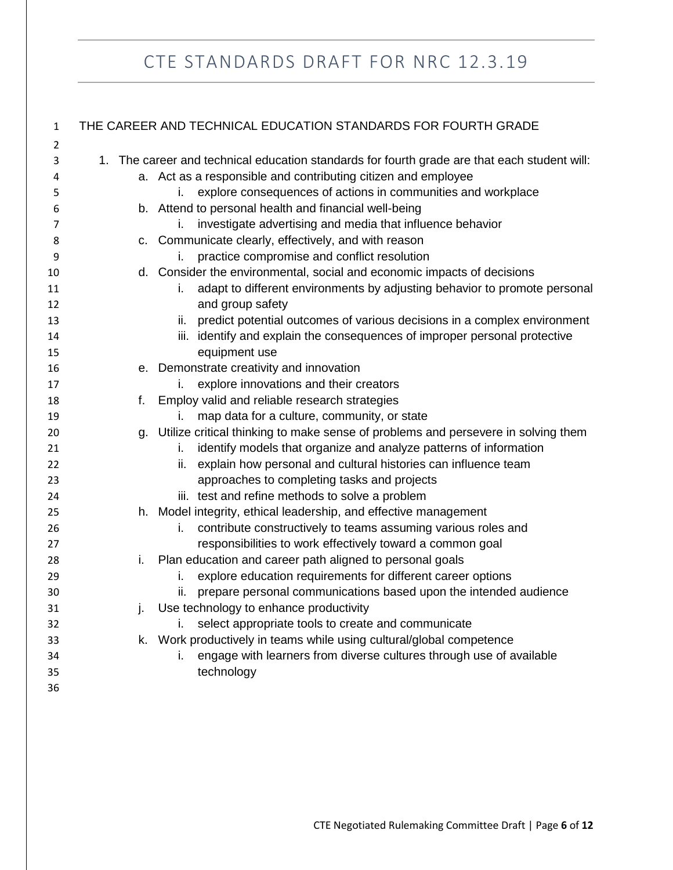| 1  | THE CAREER AND TECHNICAL EDUCATION STANDARDS FOR FOURTH GRADE      |                                                                                              |  |  |  |
|----|--------------------------------------------------------------------|----------------------------------------------------------------------------------------------|--|--|--|
| 2  |                                                                    |                                                                                              |  |  |  |
| 3  |                                                                    | 1. The career and technical education standards for fourth grade are that each student will: |  |  |  |
| 4  | a. Act as a responsible and contributing citizen and employee      |                                                                                              |  |  |  |
| 5  | explore consequences of actions in communities and workplace<br>İ. |                                                                                              |  |  |  |
| 6  |                                                                    | b. Attend to personal health and financial well-being                                        |  |  |  |
| 7  |                                                                    | investigate advertising and media that influence behavior<br>i.                              |  |  |  |
| 8  |                                                                    | c. Communicate clearly, effectively, and with reason                                         |  |  |  |
| 9  |                                                                    | practice compromise and conflict resolution<br>İ.                                            |  |  |  |
| 10 |                                                                    | d. Consider the environmental, social and economic impacts of decisions                      |  |  |  |
| 11 |                                                                    | adapt to different environments by adjusting behavior to promote personal<br>L.              |  |  |  |
| 12 |                                                                    | and group safety                                                                             |  |  |  |
| 13 |                                                                    | predict potential outcomes of various decisions in a complex environment<br>ii.              |  |  |  |
| 14 |                                                                    | iii. identify and explain the consequences of improper personal protective                   |  |  |  |
| 15 |                                                                    | equipment use                                                                                |  |  |  |
| 16 |                                                                    | e. Demonstrate creativity and innovation                                                     |  |  |  |
| 17 |                                                                    | explore innovations and their creators<br>İ.                                                 |  |  |  |
| 18 | f.                                                                 | Employ valid and reliable research strategies                                                |  |  |  |
| 19 |                                                                    | map data for a culture, community, or state<br>İ.                                            |  |  |  |
| 20 |                                                                    | g. Utilize critical thinking to make sense of problems and persevere in solving them         |  |  |  |
| 21 |                                                                    | identify models that organize and analyze patterns of information<br>i.                      |  |  |  |
| 22 |                                                                    | explain how personal and cultural histories can influence team<br>ii.                        |  |  |  |
| 23 |                                                                    | approaches to completing tasks and projects                                                  |  |  |  |
| 24 |                                                                    | iii. test and refine methods to solve a problem                                              |  |  |  |
| 25 |                                                                    | h. Model integrity, ethical leadership, and effective management                             |  |  |  |
| 26 |                                                                    | contribute constructively to teams assuming various roles and<br>i.                          |  |  |  |
| 27 |                                                                    | responsibilities to work effectively toward a common goal                                    |  |  |  |
| 28 | Ι.                                                                 | Plan education and career path aligned to personal goals                                     |  |  |  |
| 29 |                                                                    | explore education requirements for different career options<br>i.                            |  |  |  |
| 30 |                                                                    | prepare personal communications based upon the intended audience<br>ii.                      |  |  |  |
| 31 |                                                                    | j. Use technology to enhance productivity                                                    |  |  |  |
| 32 |                                                                    | select appropriate tools to create and communicate<br>i.                                     |  |  |  |
| 33 |                                                                    | k. Work productively in teams while using cultural/global competence                         |  |  |  |
| 34 |                                                                    | engage with learners from diverse cultures through use of available                          |  |  |  |
| 35 |                                                                    | technology                                                                                   |  |  |  |
| 36 |                                                                    |                                                                                              |  |  |  |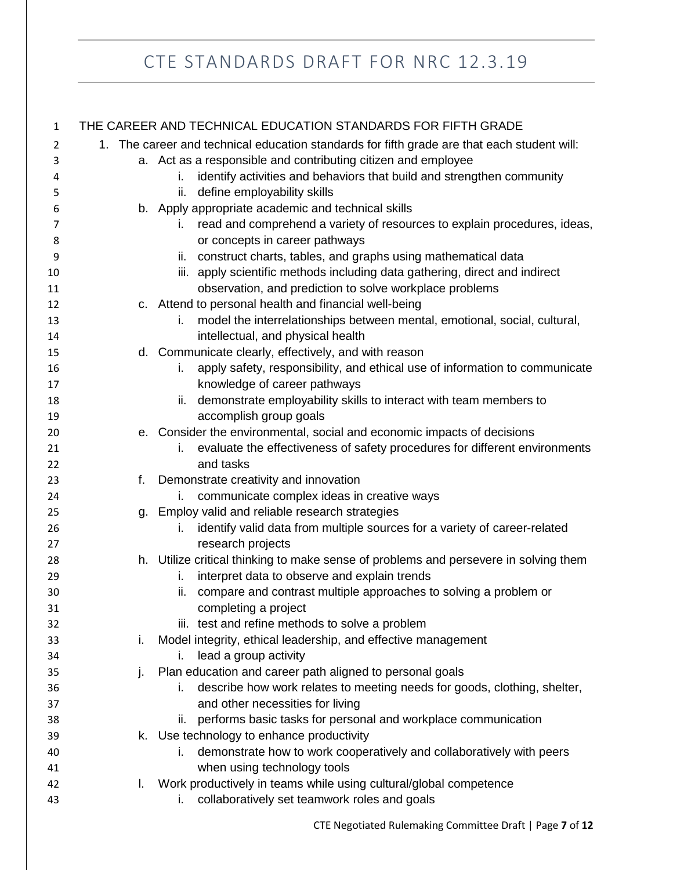| $\mathbf{1}$ |    | THE CAREER AND TECHNICAL EDUCATION STANDARDS FOR FIFTH GRADE                                |
|--------------|----|---------------------------------------------------------------------------------------------|
| 2            |    | 1. The career and technical education standards for fifth grade are that each student will: |
| 3            |    | a. Act as a responsible and contributing citizen and employee                               |
| 4            |    | identify activities and behaviors that build and strengthen community<br>i.                 |
| 5            |    | define employability skills<br>ii.                                                          |
| 6            |    | b. Apply appropriate academic and technical skills                                          |
| 7            |    | read and comprehend a variety of resources to explain procedures, ideas,<br>İ.              |
| 8            |    | or concepts in career pathways                                                              |
| 9            |    | construct charts, tables, and graphs using mathematical data<br>ii.                         |
| 10           |    | iii. apply scientific methods including data gathering, direct and indirect                 |
| 11           |    | observation, and prediction to solve workplace problems                                     |
| 12           |    | c. Attend to personal health and financial well-being                                       |
| 13           |    | model the interrelationships between mental, emotional, social, cultural,<br>İ.             |
| 14           |    | intellectual, and physical health                                                           |
| 15           |    | d. Communicate clearly, effectively, and with reason                                        |
| 16           |    | apply safety, responsibility, and ethical use of information to communicate<br>i.           |
| 17           |    | knowledge of career pathways                                                                |
| 18           |    | demonstrate employability skills to interact with team members to<br>ii.                    |
| 19           |    | accomplish group goals                                                                      |
| 20           |    | e. Consider the environmental, social and economic impacts of decisions                     |
| 21           |    | evaluate the effectiveness of safety procedures for different environments<br>L.            |
| 22           |    | and tasks                                                                                   |
| 23           | f. | Demonstrate creativity and innovation                                                       |
| 24           |    | communicate complex ideas in creative ways<br>İ.                                            |
| 25           | g. | Employ valid and reliable research strategies                                               |
| 26           |    | identify valid data from multiple sources for a variety of career-related<br>i.             |
| 27           |    | research projects                                                                           |
| 28           |    | h. Utilize critical thinking to make sense of problems and persevere in solving them        |
| 29           |    | interpret data to observe and explain trends<br>i.                                          |
| 30           |    | compare and contrast multiple approaches to solving a problem or<br>ii.                     |
| 31           |    | completing a project                                                                        |
| 32           |    | iii. test and refine methods to solve a problem                                             |
| 33           | i. | Model integrity, ethical leadership, and effective management                               |
| 34           |    | lead a group activity<br>İ.                                                                 |
| 35           | j. | Plan education and career path aligned to personal goals                                    |
| 36           |    | describe how work relates to meeting needs for goods, clothing, shelter,<br>i.              |
| 37           |    | and other necessities for living                                                            |
| 38           |    | performs basic tasks for personal and workplace communication<br>Ш.                         |
| 39           |    | k. Use technology to enhance productivity                                                   |
| 40           |    | demonstrate how to work cooperatively and collaboratively with peers<br>i.                  |
| 41           |    | when using technology tools                                                                 |
| 42           | L. | Work productively in teams while using cultural/global competence                           |
| 43           |    | collaboratively set teamwork roles and goals<br>i.                                          |
|              |    |                                                                                             |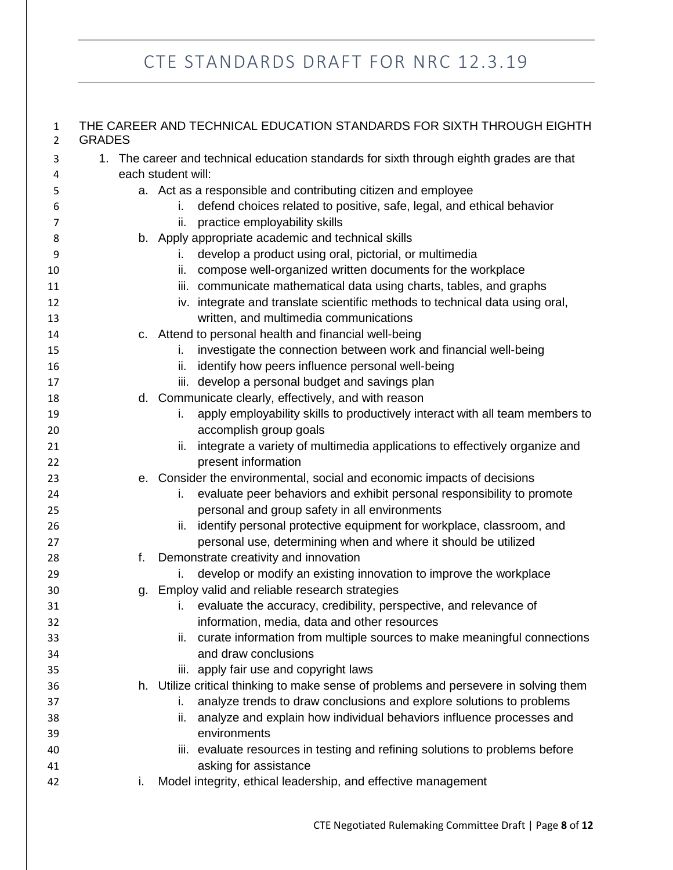| $\mathbf{1}$<br>$\overline{2}$ | THE CAREER AND TECHNICAL EDUCATION STANDARDS FOR SIXTH THROUGH EIGHTH<br><b>GRADES</b>   |                                                                                      |  |  |
|--------------------------------|------------------------------------------------------------------------------------------|--------------------------------------------------------------------------------------|--|--|
| 3                              | 1. The career and technical education standards for sixth through eighth grades are that |                                                                                      |  |  |
| 4                              | each student will:                                                                       |                                                                                      |  |  |
| 5                              |                                                                                          | a. Act as a responsible and contributing citizen and employee                        |  |  |
| 6                              |                                                                                          | defend choices related to positive, safe, legal, and ethical behavior<br>i.          |  |  |
| 7                              |                                                                                          | practice employability skills<br>ii.                                                 |  |  |
| 8                              |                                                                                          | b. Apply appropriate academic and technical skills                                   |  |  |
| 9                              |                                                                                          | develop a product using oral, pictorial, or multimedia<br>i.                         |  |  |
| 10                             |                                                                                          | compose well-organized written documents for the workplace<br>ii.                    |  |  |
| 11                             |                                                                                          | iii. communicate mathematical data using charts, tables, and graphs                  |  |  |
| 12                             |                                                                                          | iv. integrate and translate scientific methods to technical data using oral,         |  |  |
| 13                             |                                                                                          | written, and multimedia communications                                               |  |  |
| 14                             |                                                                                          | c. Attend to personal health and financial well-being                                |  |  |
| 15                             |                                                                                          | investigate the connection between work and financial well-being<br>i.               |  |  |
| 16                             |                                                                                          | identify how peers influence personal well-being<br>ii.                              |  |  |
| 17                             |                                                                                          | iii. develop a personal budget and savings plan                                      |  |  |
| 18                             |                                                                                          | d. Communicate clearly, effectively, and with reason                                 |  |  |
| 19                             |                                                                                          | apply employability skills to productively interact with all team members to<br>i.   |  |  |
| 20                             |                                                                                          | accomplish group goals                                                               |  |  |
| 21                             |                                                                                          | integrate a variety of multimedia applications to effectively organize and<br>ii.    |  |  |
| 22                             |                                                                                          | present information                                                                  |  |  |
| 23                             |                                                                                          | e. Consider the environmental, social and economic impacts of decisions              |  |  |
| 24                             |                                                                                          | evaluate peer behaviors and exhibit personal responsibility to promote<br>i.         |  |  |
| 25                             |                                                                                          | personal and group safety in all environments                                        |  |  |
| 26                             |                                                                                          | identify personal protective equipment for workplace, classroom, and<br>ii.          |  |  |
| 27                             |                                                                                          | personal use, determining when and where it should be utilized                       |  |  |
| 28                             | f.                                                                                       | Demonstrate creativity and innovation                                                |  |  |
| 29                             |                                                                                          | develop or modify an existing innovation to improve the workplace<br>i.              |  |  |
| 30                             | q.                                                                                       | Employ valid and reliable research strategies                                        |  |  |
| 31                             |                                                                                          | evaluate the accuracy, credibility, perspective, and relevance of<br>İ.              |  |  |
| 32                             |                                                                                          | information, media, data and other resources                                         |  |  |
| 33                             |                                                                                          | curate information from multiple sources to make meaningful connections<br>ii.       |  |  |
| 34                             |                                                                                          | and draw conclusions                                                                 |  |  |
| 35                             |                                                                                          | iii. apply fair use and copyright laws                                               |  |  |
| 36                             |                                                                                          | h. Utilize critical thinking to make sense of problems and persevere in solving them |  |  |
| 37                             |                                                                                          | analyze trends to draw conclusions and explore solutions to problems<br>i.           |  |  |
| 38                             |                                                                                          | analyze and explain how individual behaviors influence processes and<br>ii.          |  |  |
| 39                             |                                                                                          | environments                                                                         |  |  |
| 40                             |                                                                                          | iii. evaluate resources in testing and refining solutions to problems before         |  |  |
| 41                             |                                                                                          | asking for assistance                                                                |  |  |
| 42                             | i.                                                                                       | Model integrity, ethical leadership, and effective management                        |  |  |
|                                |                                                                                          |                                                                                      |  |  |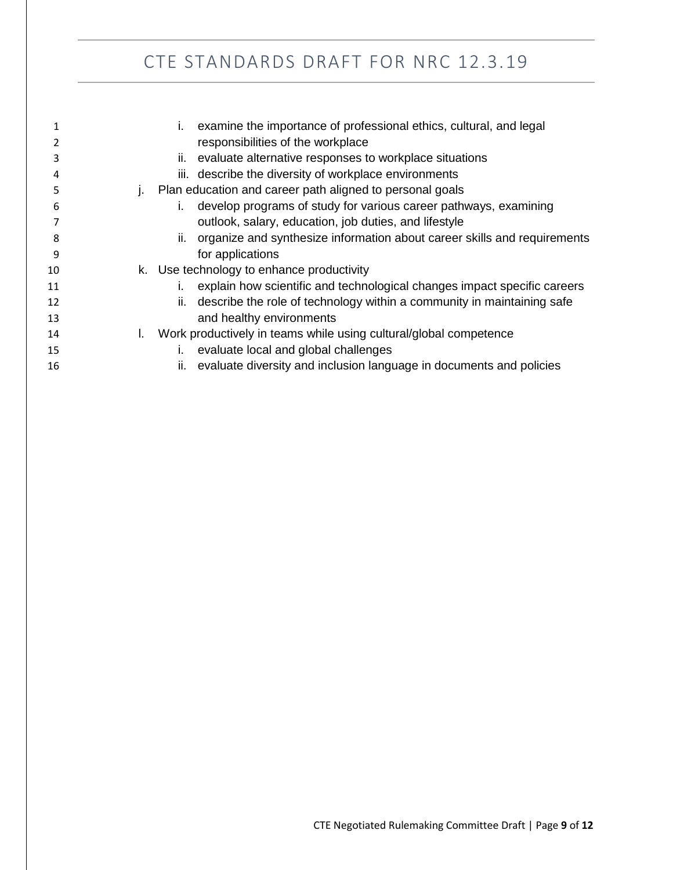|    |    | examine the importance of professional ethics, cultural, and legal<br>$\mathbf{L}$ |
|----|----|------------------------------------------------------------------------------------|
|    |    | responsibilities of the workplace                                                  |
| 3  |    | evaluate alternative responses to workplace situations<br>II.                      |
| 4  |    | iii. describe the diversity of workplace environments                              |
| 5  |    | j. Plan education and career path aligned to personal goals                        |
| 6  |    | develop programs of study for various career pathways, examining<br>Τ.             |
|    |    | outlook, salary, education, job duties, and lifestyle                              |
| 8  |    | organize and synthesize information about career skills and requirements<br>ii.    |
| 9  |    | for applications                                                                   |
| 10 |    | k. Use technology to enhance productivity                                          |
| 11 |    | explain how scientific and technological changes impact specific careers<br>L.     |
| 12 |    | describe the role of technology within a community in maintaining safe<br>ii.      |
| 13 |    | and healthy environments                                                           |
| 14 | L. | Work productively in teams while using cultural/global competence                  |
| 15 |    | evaluate local and global challenges<br>I.                                         |
| 16 |    | ii.<br>evaluate diversity and inclusion language in documents and policies         |
|    |    |                                                                                    |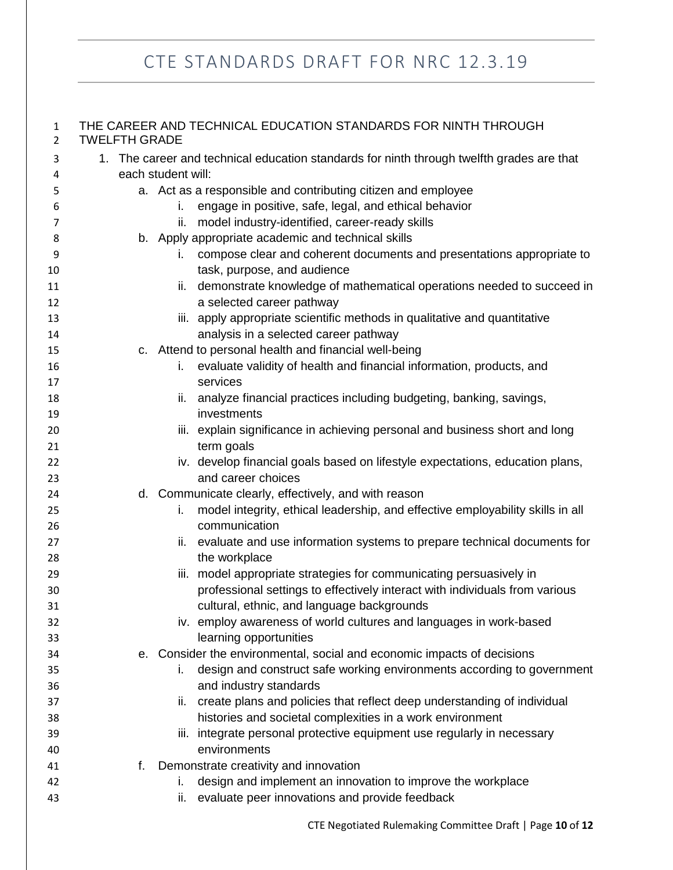#### THE CAREER AND TECHNICAL EDUCATION STANDARDS FOR NINTH THROUGH TWELFTH GRADE

| 3        |    | 1. The career and technical education standards for ninth through twelfth grades are that |  |  |
|----------|----|-------------------------------------------------------------------------------------------|--|--|
| 4        |    | each student will:                                                                        |  |  |
| 5        |    | a. Act as a responsible and contributing citizen and employee                             |  |  |
| 6        |    | engage in positive, safe, legal, and ethical behavior<br>i.                               |  |  |
| 7        |    | model industry-identified, career-ready skills<br>ii.                                     |  |  |
| 8        |    | b. Apply appropriate academic and technical skills                                        |  |  |
| 9        |    | compose clear and coherent documents and presentations appropriate to<br>L.               |  |  |
| 10       |    | task, purpose, and audience                                                               |  |  |
| 11       |    | demonstrate knowledge of mathematical operations needed to succeed in<br>ii.              |  |  |
| 12       |    | a selected career pathway                                                                 |  |  |
| 13       |    | iii. apply appropriate scientific methods in qualitative and quantitative                 |  |  |
| 14       |    | analysis in a selected career pathway                                                     |  |  |
| 15       |    | c. Attend to personal health and financial well-being                                     |  |  |
| 16<br>17 |    | evaluate validity of health and financial information, products, and<br>i.<br>services    |  |  |
| 18       |    | ii. analyze financial practices including budgeting, banking, savings,                    |  |  |
| 19       |    | investments                                                                               |  |  |
| 20       |    | iii. explain significance in achieving personal and business short and long               |  |  |
| 21       |    | term goals                                                                                |  |  |
| 22       |    | iv. develop financial goals based on lifestyle expectations, education plans,             |  |  |
| 23       |    | and career choices                                                                        |  |  |
| 24       |    | d. Communicate clearly, effectively, and with reason                                      |  |  |
| 25       |    | model integrity, ethical leadership, and effective employability skills in all<br>i.      |  |  |
| 26       |    | communication                                                                             |  |  |
| 27       |    | evaluate and use information systems to prepare technical documents for<br>ii.            |  |  |
| 28       |    | the workplace                                                                             |  |  |
| 29       |    | iii. model appropriate strategies for communicating persuasively in                       |  |  |
| 30       |    | professional settings to effectively interact with individuals from various               |  |  |
| 31       |    | cultural, ethnic, and language backgrounds                                                |  |  |
| 32       |    | iv. employ awareness of world cultures and languages in work-based                        |  |  |
| 33       |    | learning opportunities                                                                    |  |  |
| 34       |    | e. Consider the environmental, social and economic impacts of decisions                   |  |  |
| 35       |    | design and construct safe working environments according to government<br>Ĺ.              |  |  |
| 36       |    | and industry standards                                                                    |  |  |
| 37       |    | create plans and policies that reflect deep understanding of individual<br>ii.            |  |  |
| 38       |    | histories and societal complexities in a work environment                                 |  |  |
| 39       |    | iii. integrate personal protective equipment use regularly in necessary                   |  |  |
| 40       |    | environments                                                                              |  |  |
| 41       | f. | Demonstrate creativity and innovation                                                     |  |  |
| 42       |    | design and implement an innovation to improve the workplace<br>ı.                         |  |  |
| 43       |    | evaluate peer innovations and provide feedback<br>ii.                                     |  |  |
|          |    |                                                                                           |  |  |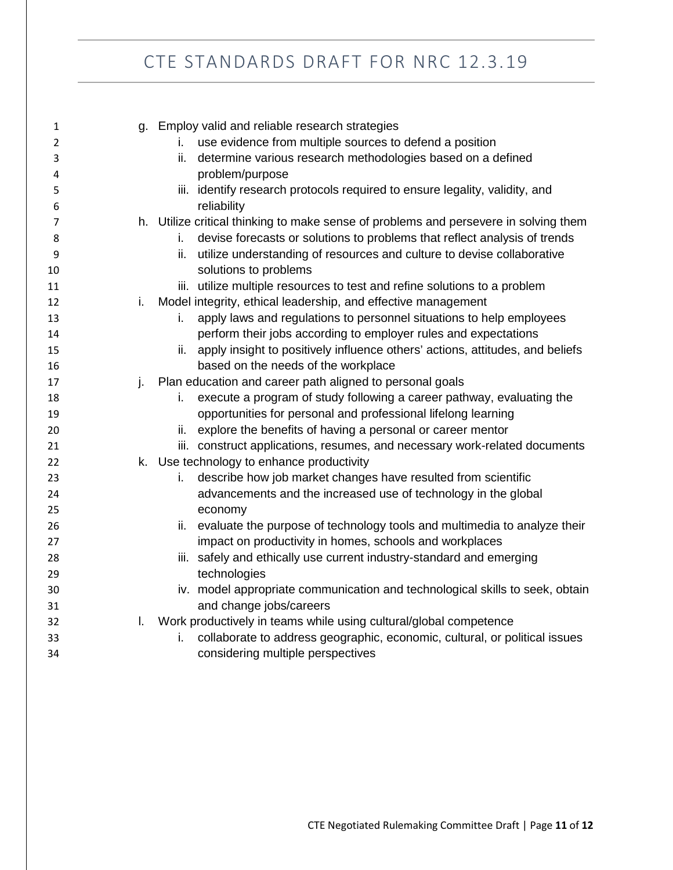| $\mathbf 1$    |    | g. Employ valid and reliable research strategies                                     |
|----------------|----|--------------------------------------------------------------------------------------|
| 2              |    | use evidence from multiple sources to defend a position<br>L.                        |
| 3              |    | determine various research methodologies based on a defined<br>ii.                   |
| 4              |    | problem/purpose                                                                      |
| 5              |    | iii. identify research protocols required to ensure legality, validity, and          |
| 6              |    | reliability                                                                          |
| $\overline{7}$ |    | h. Utilize critical thinking to make sense of problems and persevere in solving them |
| 8              |    | devise forecasts or solutions to problems that reflect analysis of trends<br>i.      |
| 9              |    | utilize understanding of resources and culture to devise collaborative<br>ii.        |
| 10             |    | solutions to problems                                                                |
| 11             |    | iii. utilize multiple resources to test and refine solutions to a problem            |
| 12             | i. | Model integrity, ethical leadership, and effective management                        |
| 13             |    | apply laws and regulations to personnel situations to help employees<br>i.           |
| 14             |    | perform their jobs according to employer rules and expectations                      |
| 15             |    | ii. apply insight to positively influence others' actions, attitudes, and beliefs    |
| 16             |    | based on the needs of the workplace                                                  |
| 17             | j. | Plan education and career path aligned to personal goals                             |
| 18             |    | execute a program of study following a career pathway, evaluating the<br>i.          |
| 19             |    | opportunities for personal and professional lifelong learning                        |
| 20             |    | explore the benefits of having a personal or career mentor<br>ii.                    |
| 21             |    | iii. construct applications, resumes, and necessary work-related documents           |
| 22             |    | k. Use technology to enhance productivity                                            |
| 23             |    | describe how job market changes have resulted from scientific<br>i.                  |
| 24             |    | advancements and the increased use of technology in the global                       |
| 25             |    | economy                                                                              |
| 26             |    | evaluate the purpose of technology tools and multimedia to analyze their<br>ii.      |
| 27             |    | impact on productivity in homes, schools and workplaces                              |
| 28             |    | iii. safely and ethically use current industry-standard and emerging                 |
| 29             |    | technologies                                                                         |
| 30             |    | iv. model appropriate communication and technological skills to seek, obtain         |
| 31             |    | and change jobs/careers                                                              |
| 32             | L. | Work productively in teams while using cultural/global competence                    |
| 33             |    | collaborate to address geographic, economic, cultural, or political issues<br>i.     |
| 34             |    | considering multiple perspectives                                                    |